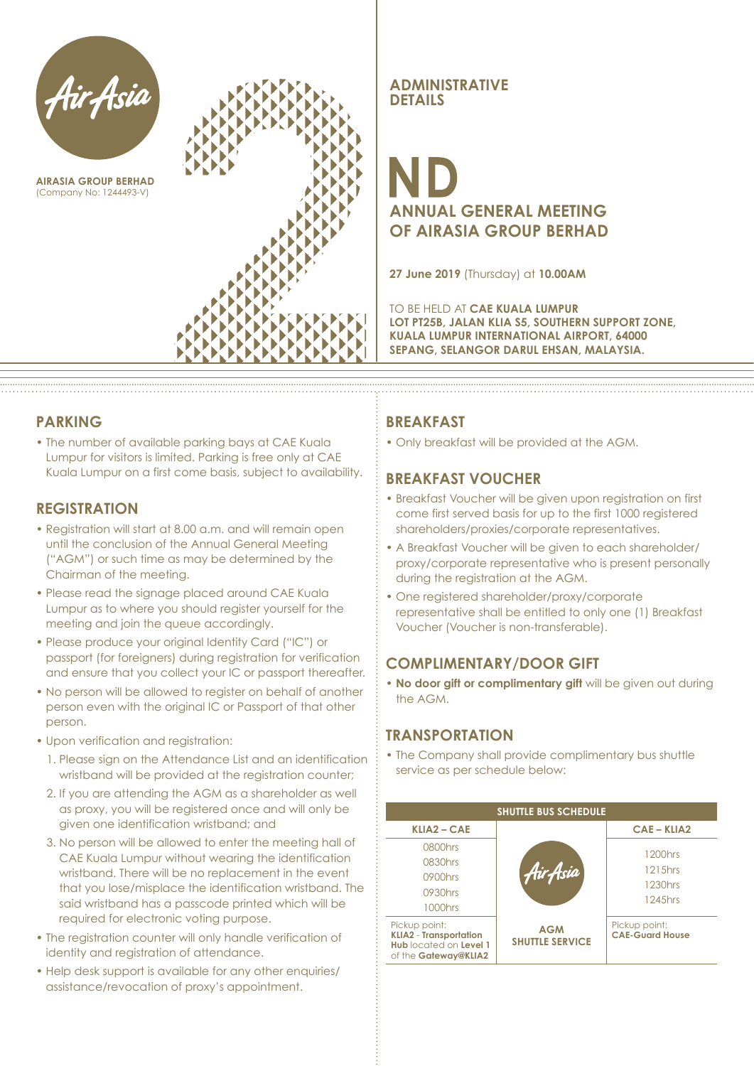

**AIRASIA GROUP BERHAD** (Company No: 1244493-V)



**ADMINISTRATIVE DETAILS**

## **ANNUAL GENERAL MEETING OF AIRASIA GROUP BERHAD**

**27 June 2019** (Thursday) at **10.00AM**

TO BE HELD AT **CAE KUALA LUMPUR LOT PT25B, JALAN KLIA S5, SOUTHERN SUPPORT ZONE, KUALA LUMPUR INTERNATIONAL AIRPORT, 64000 SEPANG, SELANGOR DARUL EHSAN, MALAYSIA.**

### **PARKING**

• The number of available parking bays at CAE Kuala Lumpur for visitors is limited. Parking is free only at CAE Kuala Lumpur on a first come basis, subject to availability.

### **REGISTRATION**

- Registration will start at 8.00 a.m. and will remain open until the conclusion of the Annual General Meeting ("AGM") or such time as may be determined by the Chairman of the meeting.
- Please read the signage placed around CAE Kuala Lumpur as to where you should register yourself for the meeting and join the queue accordingly.
- Please produce your original Identity Card ("IC") or passport (for foreigners) during registration for verification and ensure that you collect your IC or passport thereafter.
- No person will be allowed to register on behalf of another person even with the original IC or Passport of that other person.
- Upon verification and registration:
	- 1. Please sign on the Attendance List and an identification wristband will be provided at the registration counter;
	- 2. If you are attending the AGM as a shareholder as well as proxy, you will be registered once and will only be given one identification wristband; and
	- 3. No person will be allowed to enter the meeting hall of CAE Kuala Lumpur without wearing the identification wristband. There will be no replacement in the event that you lose/misplace the identification wristband. The said wristband has a passcode printed which will be required for electronic voting purpose.
- The registration counter will only handle verification of identity and registration of attendance.
- Help desk support is available for any other enquiries/ assistance/revocation of proxy's appointment.

### **BREAKFAST**

• Only breakfast will be provided at the AGM.

### **BREAKFAST VOUCHER**

- Breakfast Voucher will be given upon registration on first come first served basis for up to the first 1000 registered shareholders/proxies/corporate representatives.
- A Breakfast Voucher will be given to each shareholder/ proxy/corporate representative who is present personally during the registration at the AGM.
- One registered shareholder/proxy/corporate representative shall be entitled to only one (1) Breakfast Voucher (Voucher is non-transferable).

### **COMPLIMENTARY/DOOR GIFT**

**• No door gift or complimentary gift** will be given out during the AGM.

### **TRANSPORTATION**

• The Company shall provide complimentary bus shuttle service as per schedule below:

| <b>SHUTTLE BUS SCHEDULE</b>                                                                      |                                      |                                         |  |
|--------------------------------------------------------------------------------------------------|--------------------------------------|-----------------------------------------|--|
| <b>KLIA2 - CAE</b>                                                                               |                                      | <b>CAE-KLIA2</b>                        |  |
| 0800hrs                                                                                          |                                      | 1200hrs                                 |  |
| 0830hrs                                                                                          |                                      | 1215hrs                                 |  |
| 0900hrs                                                                                          | Hir Asia                             |                                         |  |
| 0930hrs                                                                                          |                                      | 1230hrs                                 |  |
| 1000hrs                                                                                          |                                      | 1245hrs                                 |  |
| Pickup point:<br><b>KLIA2</b> - Transportation<br>Hub located on Level 1<br>of the Gateway@KLIA2 | <b>AGM</b><br><b>SHUTTLE SERVICE</b> | Pickup point:<br><b>CAE-Guard House</b> |  |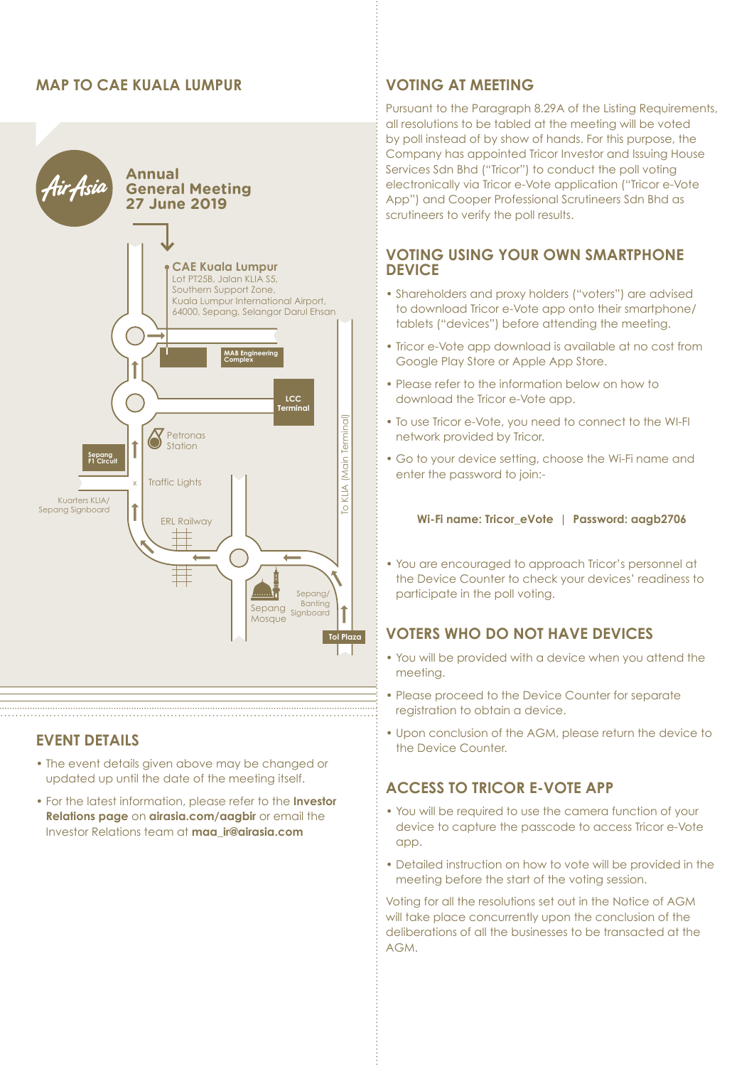### **MAP TO CAE KUALA LUMPUR VOTING AT MEETING**



### **EVENT DETAILS**

• The event details given above may be changed or updated up until the date of the meeting itself.

• For the latest information, please refer to the **Investor Relations page** on **airasia.com/aagbir** or email the Investor Relations team at **maa\_ir@airasia.com**

Pursuant to the Paragraph 8.29A of the Listing Requirements, all resolutions to be tabled at the meeting will be voted by poll instead of by show of hands. For this purpose, the Company has appointed Tricor Investor and Issuing House Services Sdn Bhd ("Tricor") to conduct the poll voting electronically via Tricor e-Vote application ("Tricor e-Vote App") and Cooper Professional Scrutineers Sdn Bhd as scrutineers to verify the poll results.

### **VOTING USING YOUR OWN SMARTPHONE DEVICE**

- Shareholders and proxy holders ("voters") are advised to download Tricor e-Vote app onto their smartphone/ tablets ("devices") before attending the meeting.
- Tricor e-Vote app download is available at no cost from Google Play Store or Apple App Store.
- Please refer to the information below on how to download the Tricor e-Vote app.
- To use Tricor e-Vote, you need to connect to the WI-FI network provided by Tricor.
- Go to your device setting, choose the Wi-Fi name and enter the password to join:-

### **Wi-Fi name: Tricor\_eVote | Password: aagb2706**

• You are encouraged to approach Tricor's personnel at the Device Counter to check your devices' readiness to participate in the poll voting.

### **VOTERS WHO DO NOT HAVE DEVICES**

- You will be provided with a device when you attend the meeting.
- Please proceed to the Device Counter for separate registration to obtain a device.
- Upon conclusion of the AGM, please return the device to the Device Counter.

### **ACCESS TO TRICOR E-VOTE APP**

- You will be required to use the camera function of your device to capture the passcode to access Tricor e-Vote app.
- Detailed instruction on how to vote will be provided in the meeting before the start of the voting session.

Voting for all the resolutions set out in the Notice of AGM will take place concurrently upon the conclusion of the deliberations of all the businesses to be transacted at the AGM.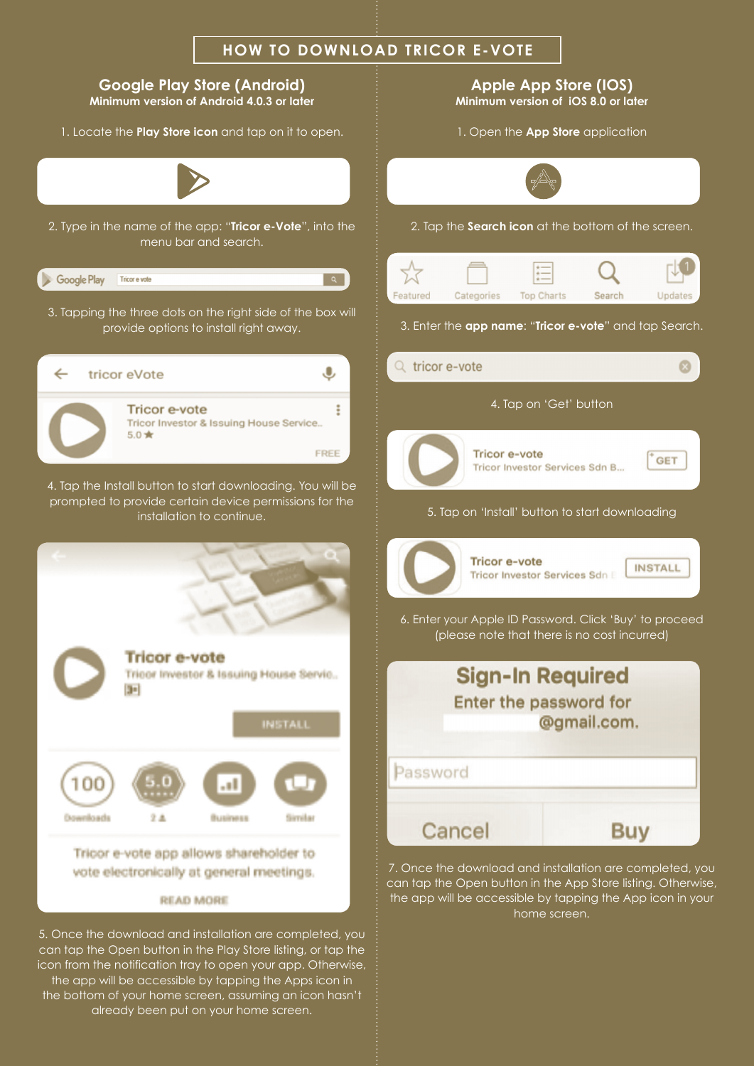

can tap the Open button in the Play Store listing, or tap the icon from the notification tray to open your app. Otherwise, the app will be accessible by tapping the Apps icon in the bottom of your home screen, assuming an icon hasn't already been put on your home screen.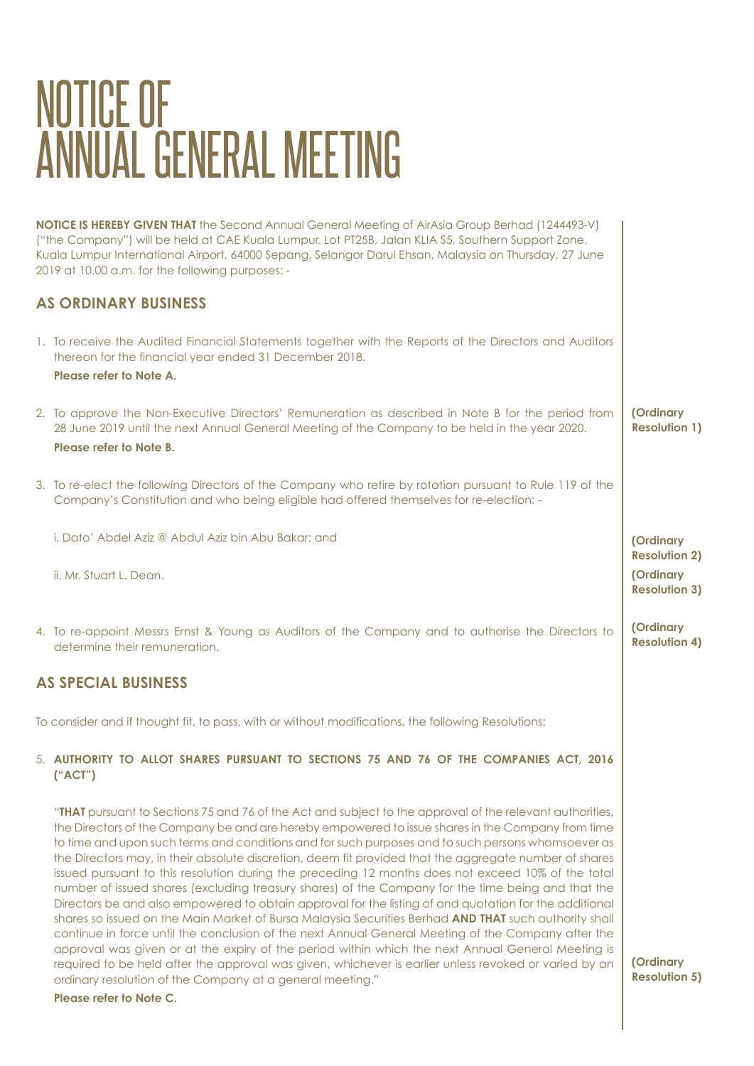# NOTICE OF ANNUAL GENERAL MEETING

| <b>NOTICE IS HEREBY GIVEN THAT</b> the Second Annual General Meeting of AirAsia Group Berhad (1244493-V)<br>("the Company") will be held at CAE Kuala Lumpur, Lot PT25B, Jalan KLIA S5, Southern Support Zone,<br>Kuala Lumpur International Airport, 64000 Sepang, Selangor Darul Ehsan, Malaysia on Thursday, 27 June<br>2019 at 10.00 a.m. for the following purposes: -                                                                                                                                                                                                                                                                                                                                                                                                                                                                                                                                                                                                                                                                                                                                                                                                                                                                   |                                   |
|-----------------------------------------------------------------------------------------------------------------------------------------------------------------------------------------------------------------------------------------------------------------------------------------------------------------------------------------------------------------------------------------------------------------------------------------------------------------------------------------------------------------------------------------------------------------------------------------------------------------------------------------------------------------------------------------------------------------------------------------------------------------------------------------------------------------------------------------------------------------------------------------------------------------------------------------------------------------------------------------------------------------------------------------------------------------------------------------------------------------------------------------------------------------------------------------------------------------------------------------------|-----------------------------------|
| <b>AS ORDINARY BUSINESS</b>                                                                                                                                                                                                                                                                                                                                                                                                                                                                                                                                                                                                                                                                                                                                                                                                                                                                                                                                                                                                                                                                                                                                                                                                                   |                                   |
| 1. To receive the Audited Financial Statements together with the Reports of the Directors and Auditors<br>thereon for the financial year ended 31 December 2018.<br>Please refer to Note A.                                                                                                                                                                                                                                                                                                                                                                                                                                                                                                                                                                                                                                                                                                                                                                                                                                                                                                                                                                                                                                                   |                                   |
| 2. To approve the Non-Executive Directors' Remuneration as described in Note B for the period from<br>28 June 2019 until the next Annual General Meeting of the Company to be held in the year 2020.<br>Please refer to Note B.                                                                                                                                                                                                                                                                                                                                                                                                                                                                                                                                                                                                                                                                                                                                                                                                                                                                                                                                                                                                               | (Ordinary<br><b>Resolution 1)</b> |
| 3. To re-elect the following Directors of the Company who retire by rotation pursuant to Rule 119 of the<br>Company's Constitution and who being eligible had offered themselves for re-election: -                                                                                                                                                                                                                                                                                                                                                                                                                                                                                                                                                                                                                                                                                                                                                                                                                                                                                                                                                                                                                                           |                                   |
| i. Dato' Abdel Aziz @ Abdul Aziz bin Abu Bakar; and                                                                                                                                                                                                                                                                                                                                                                                                                                                                                                                                                                                                                                                                                                                                                                                                                                                                                                                                                                                                                                                                                                                                                                                           | (Ordinary<br><b>Resolution 2)</b> |
| ii. Mr. Stuart L. Dean.                                                                                                                                                                                                                                                                                                                                                                                                                                                                                                                                                                                                                                                                                                                                                                                                                                                                                                                                                                                                                                                                                                                                                                                                                       | (Ordinary<br><b>Resolution 3)</b> |
| 4. To re-appoint Messrs Ernst & Young as Auditors of the Company and to authorise the Directors to<br>determine their remuneration.                                                                                                                                                                                                                                                                                                                                                                                                                                                                                                                                                                                                                                                                                                                                                                                                                                                                                                                                                                                                                                                                                                           | (Ordinary<br><b>Resolution 4)</b> |
| <b>AS SPECIAL BUSINESS</b>                                                                                                                                                                                                                                                                                                                                                                                                                                                                                                                                                                                                                                                                                                                                                                                                                                                                                                                                                                                                                                                                                                                                                                                                                    |                                   |
| To consider and if thought fit, to pass, with or without modifications, the following Resolutions:                                                                                                                                                                                                                                                                                                                                                                                                                                                                                                                                                                                                                                                                                                                                                                                                                                                                                                                                                                                                                                                                                                                                            |                                   |
| 5. AUTHORITY TO ALLOT SHARES PURSUANT TO SECTIONS 75 AND 76 OF THE COMPANIES ACT, 2016<br>("ACT")                                                                                                                                                                                                                                                                                                                                                                                                                                                                                                                                                                                                                                                                                                                                                                                                                                                                                                                                                                                                                                                                                                                                             |                                   |
| "THAT pursuant to Sections 75 and 76 of the Act and subject to the approval of the relevant authorities,<br>the Directors of the Company be and are hereby empowered to issue shares in the Company from time<br>to time and upon such terms and conditions and for such purposes and to such persons whomsoever as<br>the Directors may, in their absolute discretion, deem fit provided that the aggregate number of shares<br>issued pursuant to this resolution during the preceding 12 months does not exceed 10% of the total<br>number of issued shares (excluding treasury shares) of the Company for the time being and that the<br>Directors be and also empowered to obtain approval for the listing of and quotation for the additional<br>shares so issued on the Main Market of Bursa Malaysia Securities Berhad AND THAT such authority shall<br>continue in force until the conclusion of the next Annual General Meeting of the Company after the<br>approval was given or at the expiry of the period within which the next Annual General Meeting is<br>required to be held after the approval was given, whichever is earlier unless revoked or varied by an<br>ordinary resolution of the Company at a general meeting." | (Ordinary<br><b>Resolution 5)</b> |
| Please refer to Note C.                                                                                                                                                                                                                                                                                                                                                                                                                                                                                                                                                                                                                                                                                                                                                                                                                                                                                                                                                                                                                                                                                                                                                                                                                       |                                   |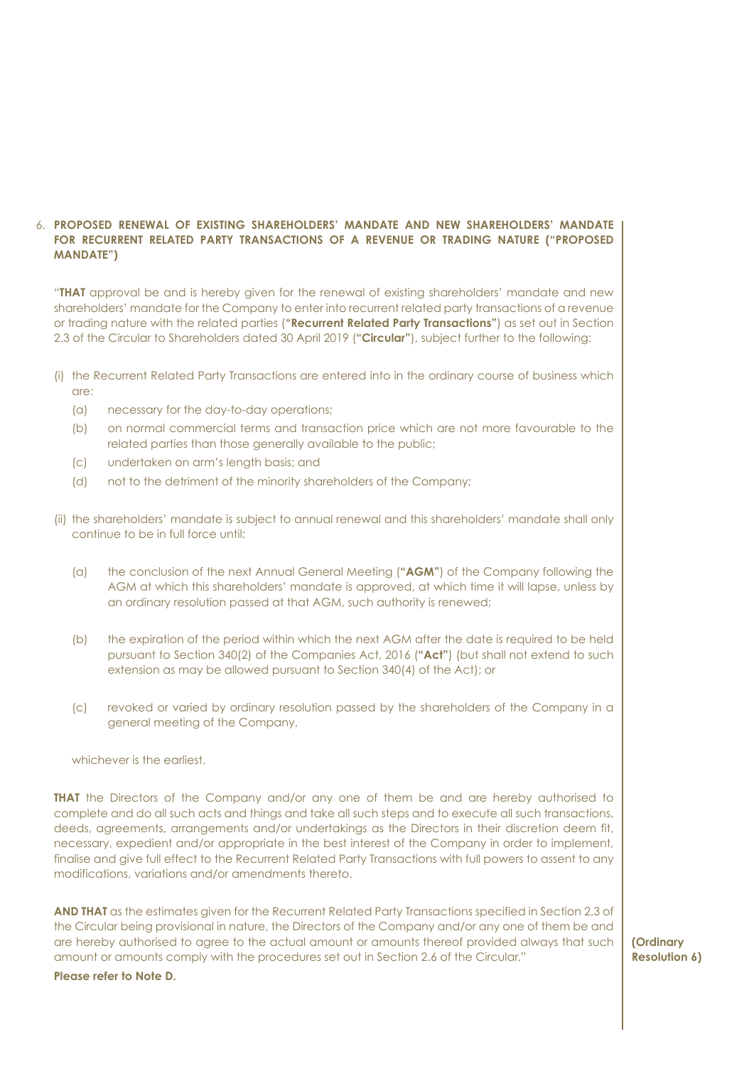### 6. **PROPOSED RENEWAL OF EXISTING SHAREHOLDERS' MANDATE AND NEW SHAREHOLDERS' MANDATE FOR RECURRENT RELATED PARTY TRANSACTIONS OF A REVENUE OR TRADING NATURE ("PROPOSED MANDATE")**

 "**THAT** approval be and is hereby given for the renewal of existing shareholders' mandate and new shareholders' mandate for the Company to enter into recurrent related party transactions of a revenue or trading nature with the related parties (**"Recurrent Related Party Transactions"**) as set out in Section 2.3 of the Circular to Shareholders dated 30 April 2019 (**"Circular"**), subject further to the following:

- (i) the Recurrent Related Party Transactions are entered into in the ordinary course of business which are:
	- (a) necessary for the day-to-day operations;
	- (b) on normal commercial terms and transaction price which are not more favourable to the related parties than those generally available to the public;
	- (c) undertaken on arm's length basis; and
	- (d) not to the detriment of the minority shareholders of the Company;
- (ii) the shareholders' mandate is subject to annual renewal and this shareholders' mandate shall only continue to be in full force until:
	- (a) the conclusion of the next Annual General Meeting (**"AGM"**) of the Company following the AGM at which this shareholders' mandate is approved, at which time it will lapse, unless by an ordinary resolution passed at that AGM, such authority is renewed;
	- (b) the expiration of the period within which the next AGM after the date is required to be held pursuant to Section 340(2) of the Companies Act, 2016 (**"Act"**) (but shall not extend to such extension as may be allowed pursuant to Section 340(4) of the Act); or
	- (c) revoked or varied by ordinary resolution passed by the shareholders of the Company in a general meeting of the Company,

whichever is the earliest.

**THAT** the Directors of the Company and/or any one of them be and are hereby authorised to complete and do all such acts and things and take all such steps and to execute all such transactions, deeds, agreements, arrangements and/or undertakings as the Directors in their discretion deem fit, necessary, expedient and/or appropriate in the best interest of the Company in order to implement, finalise and give full effect to the Recurrent Related Party Transactions with full powers to assent to any modifications, variations and/or amendments thereto.

**AND THAT** as the estimates given for the Recurrent Related Party Transactions specified in Section 2.3 of the Circular being provisional in nature, the Directors of the Company and/or any one of them be and are hereby authorised to agree to the actual amount or amounts thereof provided always that such amount or amounts comply with the procedures set out in Section 2.6 of the Circular." **Please refer to Note D.**

**(Ordinary Resolution 6)**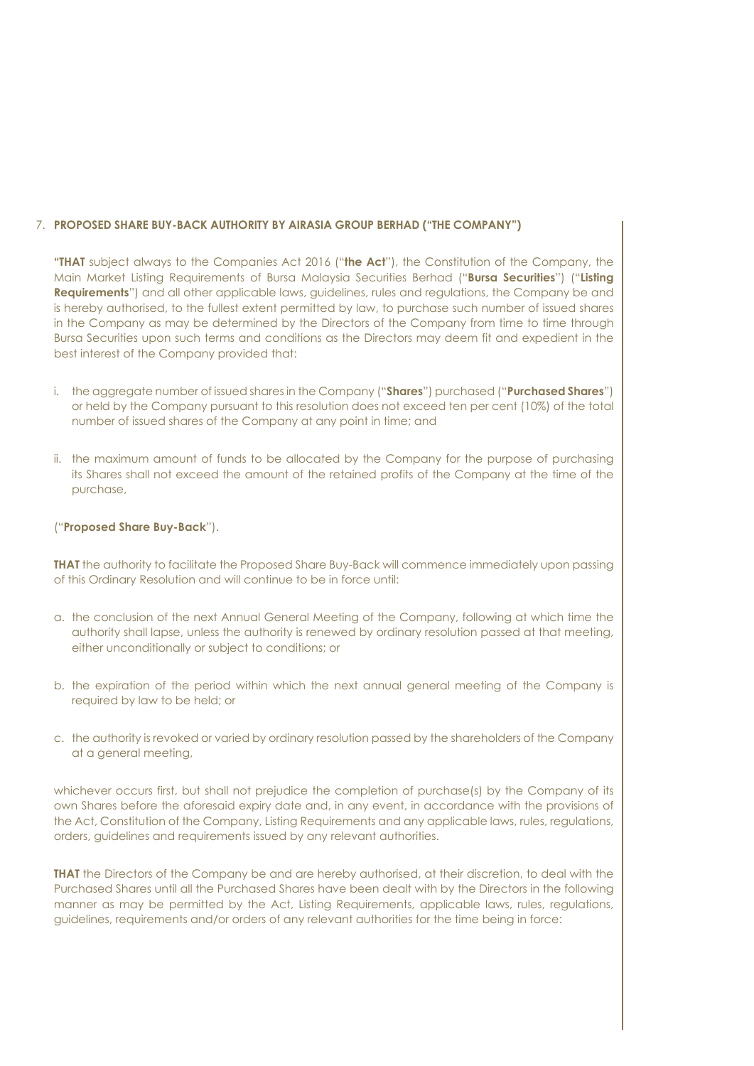### 7. **PROPOSED SHARE BUY-BACK AUTHORITY BY AIRASIA GROUP BERHAD ("THE COMPANY")**

**"THAT** subject always to the Companies Act 2016 ("**the Act**"), the Constitution of the Company, the Main Market Listing Requirements of Bursa Malaysia Securities Berhad ("**Bursa Securities**") ("**Listing Requirements**") and all other applicable laws, guidelines, rules and regulations, the Company be and is hereby authorised, to the fullest extent permitted by law, to purchase such number of issued shares in the Company as may be determined by the Directors of the Company from time to time through Bursa Securities upon such terms and conditions as the Directors may deem fit and expedient in the best interest of the Company provided that:

- i. the aggregate number of issued shares in the Company ("**Shares**") purchased ("**Purchased Shares**") or held by the Company pursuant to this resolution does not exceed ten per cent (10%) of the total number of issued shares of the Company at any point in time; and
- ii. the maximum amount of funds to be allocated by the Company for the purpose of purchasing its Shares shall not exceed the amount of the retained profits of the Company at the time of the purchase,

### ("**Proposed Share Buy-Back**").

**THAT** the authority to facilitate the Proposed Share Buy-Back will commence immediately upon passing of this Ordinary Resolution and will continue to be in force until:

- a. the conclusion of the next Annual General Meeting of the Company, following at which time the authority shall lapse, unless the authority is renewed by ordinary resolution passed at that meeting, either unconditionally or subject to conditions; or
- b. the expiration of the period within which the next annual general meeting of the Company is required by law to be held; or
- c. the authority is revoked or varied by ordinary resolution passed by the shareholders of the Company at a general meeting,

whichever occurs first, but shall not prejudice the completion of purchase(s) by the Company of its own Shares before the aforesaid expiry date and, in any event, in accordance with the provisions of the Act, Constitution of the Company, Listing Requirements and any applicable laws, rules, regulations, orders, guidelines and requirements issued by any relevant authorities.

**THAT** the Directors of the Company be and are hereby authorised, at their discretion, to deal with the Purchased Shares until all the Purchased Shares have been dealt with by the Directors in the following manner as may be permitted by the Act, Listing Requirements, applicable laws, rules, regulations, guidelines, requirements and/or orders of any relevant authorities for the time being in force: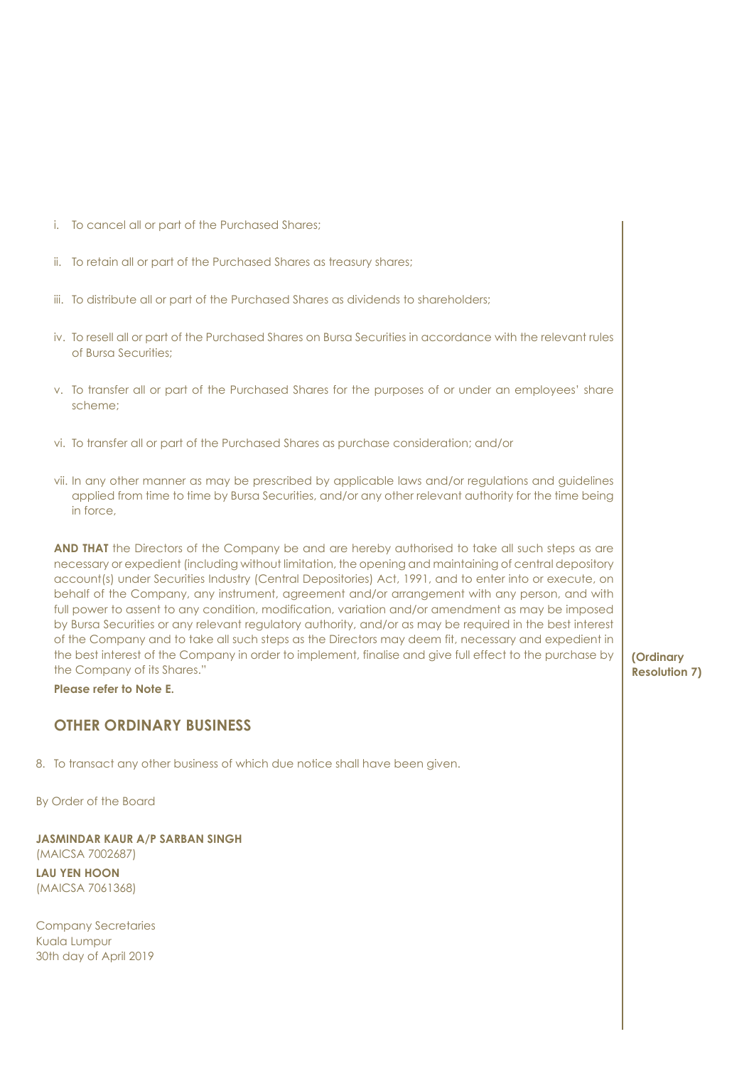- i. To cancel all or part of the Purchased Shares;
- ii. To retain all or part of the Purchased Shares as treasury shares;
- iii. To distribute all or part of the Purchased Shares as dividends to shareholders;
- iv. To resell all or part of the Purchased Shares on Bursa Securities in accordance with the relevant rules of Bursa Securities;
- v. To transfer all or part of the Purchased Shares for the purposes of or under an employees' share scheme;
- vi. To transfer all or part of the Purchased Shares as purchase consideration; and/or
- vii. In any other manner as may be prescribed by applicable laws and/or regulations and guidelines applied from time to time by Bursa Securities, and/or any other relevant authority for the time being in force,

**AND THAT** the Directors of the Company be and are hereby authorised to take all such steps as are necessary or expedient (including without limitation, the opening and maintaining of central depository account(s) under Securities Industry (Central Depositories) Act, 1991, and to enter into or execute, on behalf of the Company, any instrument, agreement and/or arrangement with any person, and with full power to assent to any condition, modification, variation and/or amendment as may be imposed by Bursa Securities or any relevant regulatory authority, and/or as may be required in the best interest of the Company and to take all such steps as the Directors may deem fit, necessary and expedient in the best interest of the Company in order to implement, finalise and give full effect to the purchase by the Company of its Shares."

**Please refer to Note E.**

### **OTHER ORDINARY BUSINESS**

8. To transact any other business of which due notice shall have been given.

By Order of the Board

**JASMINDAR KAUR A/P SARBAN SINGH** (MAICSA 7002687) **LAU YEN HOON**  (MAICSA 7061368)

Company Secretaries Kuala Lumpur 30th day of April 2019

**(Ordinary Resolution 7)**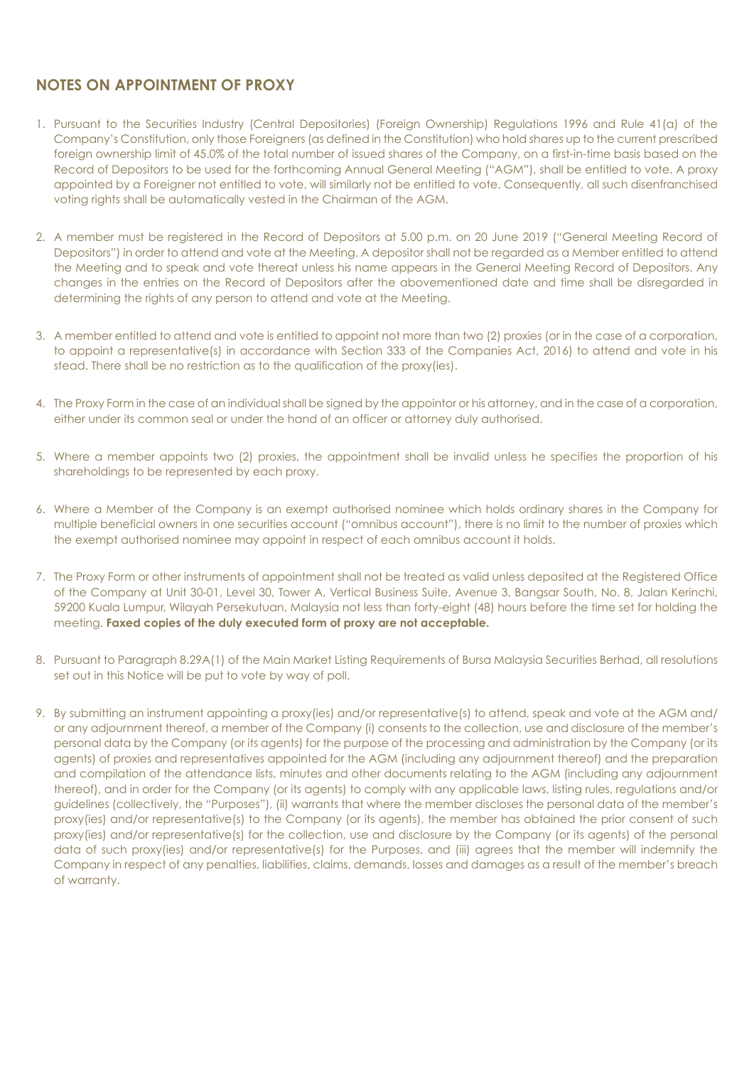### **NOTES ON APPOINTMENT OF PROXY**

- 1. Pursuant to the Securities Industry (Central Depositories) (Foreign Ownership) Regulations 1996 and Rule 41(a) of the Company's Constitution, only those Foreigners (as defined in the Constitution) who hold shares up to the current prescribed foreign ownership limit of 45.0% of the total number of issued shares of the Company, on a first-in-time basis based on the Record of Depositors to be used for the forthcoming Annual General Meeting ("AGM"), shall be entitled to vote. A proxy appointed by a Foreigner not entitled to vote, will similarly not be entitled to vote. Consequently, all such disenfranchised voting rights shall be automatically vested in the Chairman of the AGM.
- 2. A member must be registered in the Record of Depositors at 5.00 p.m. on 20 June 2019 ("General Meeting Record of Depositors") in order to attend and vote at the Meeting. A depositor shall not be regarded as a Member entitled to attend the Meeting and to speak and vote thereat unless his name appears in the General Meeting Record of Depositors. Any changes in the entries on the Record of Depositors after the abovementioned date and time shall be disregarded in determining the rights of any person to attend and vote at the Meeting.
- 3. A member entitled to attend and vote is entitled to appoint not more than two (2) proxies (or in the case of a corporation, to appoint a representative(s) in accordance with Section 333 of the Companies Act, 2016) to attend and vote in his stead. There shall be no restriction as to the qualification of the proxy(ies).
- 4. The Proxy Form in the case of an individual shall be signed by the appointor or his attorney, and in the case of a corporation, either under its common seal or under the hand of an officer or attorney duly authorised.
- 5. Where a member appoints two (2) proxies, the appointment shall be invalid unless he specifies the proportion of his shareholdings to be represented by each proxy.
- 6. Where a Member of the Company is an exempt authorised nominee which holds ordinary shares in the Company for multiple beneficial owners in one securities account ("omnibus account"), there is no limit to the number of proxies which the exempt authorised nominee may appoint in respect of each omnibus account it holds.
- 7. The Proxy Form or other instruments of appointment shall not be treated as valid unless deposited at the Registered Office of the Company at Unit 30-01, Level 30, Tower A, Vertical Business Suite, Avenue 3, Bangsar South, No. 8, Jalan Kerinchi, 59200 Kuala Lumpur, Wilayah Persekutuan, Malaysia not less than forty-eight (48) hours before the time set for holding the meeting. **Faxed copies of the duly executed form of proxy are not acceptable.**
- 8. Pursuant to Paragraph 8.29A(1) of the Main Market Listing Requirements of Bursa Malaysia Securities Berhad, all resolutions set out in this Notice will be put to vote by way of poll.
- 9. By submitting an instrument appointing a proxy(ies) and/or representative(s) to attend, speak and vote at the AGM and/ or any adjournment thereof, a member of the Company (i) consents to the collection, use and disclosure of the member's personal data by the Company (or its agents) for the purpose of the processing and administration by the Company (or its agents) of proxies and representatives appointed for the AGM (including any adjournment thereof) and the preparation and compilation of the attendance lists, minutes and other documents relating to the AGM (including any adjournment thereof), and in order for the Company (or its agents) to comply with any applicable laws, listing rules, regulations and/or guidelines (collectively, the "Purposes"), (ii) warrants that where the member discloses the personal data of the member's proxy(ies) and/or representative(s) to the Company (or its agents), the member has obtained the prior consent of such proxy(ies) and/or representative(s) for the collection, use and disclosure by the Company (or its agents) of the personal data of such proxy(ies) and/or representative(s) for the Purposes, and (iii) agrees that the member will indemnify the Company in respect of any penalties, liabilities, claims, demands, losses and damages as a result of the member's breach of warranty.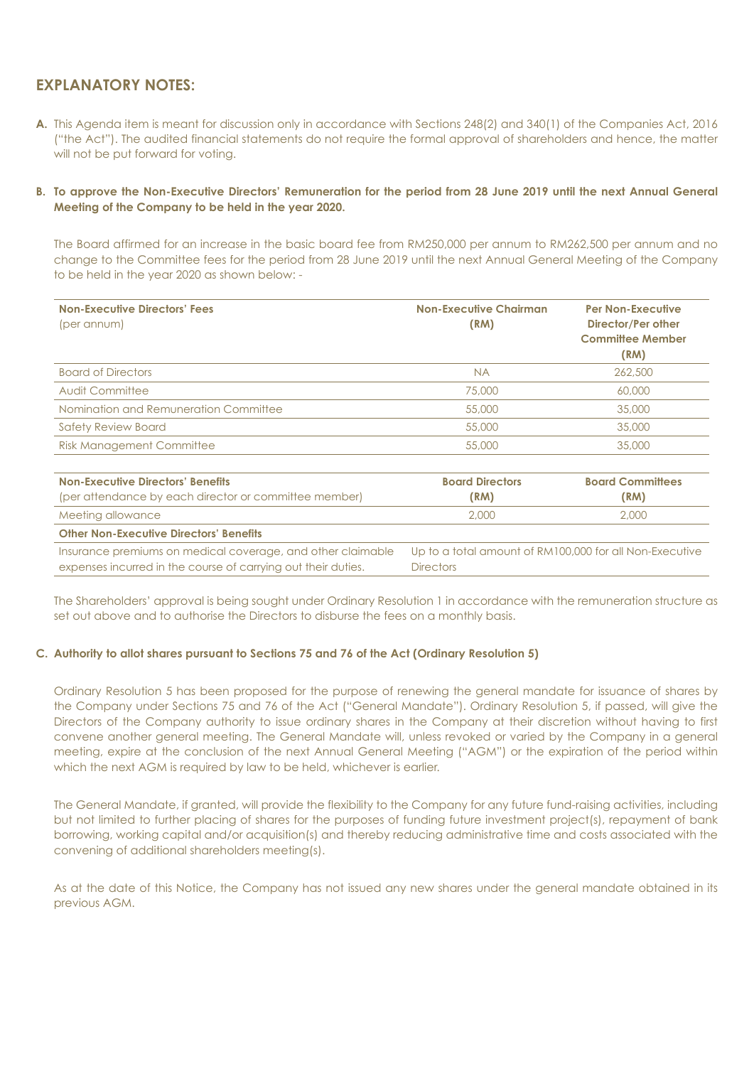### **EXPLANATORY NOTES:**

- **A.** This Agenda item is meant for discussion only in accordance with Sections 248(2) and 340(1) of the Companies Act, 2016 ("the Act"). The audited financial statements do not require the formal approval of shareholders and hence, the matter will not be put forward for voting.
- **B. To approve the Non-Executive Directors' Remuneration for the period from 28 June 2019 until the next Annual General Meeting of the Company to be held in the year 2020.**

The Board affirmed for an increase in the basic board fee from RM250,000 per annum to RM262,500 per annum and no change to the Committee fees for the period from 28 June 2019 until the next Annual General Meeting of the Company to be held in the year 2020 as shown below: -

| <b>Non-Executive Directors' Fees</b><br>(per annum)   | <b>Non-Executive Chairman</b><br>(RM) | <b>Per Non-Executive</b><br>Director/Per other<br><b>Committee Member</b><br>(RM) |
|-------------------------------------------------------|---------------------------------------|-----------------------------------------------------------------------------------|
| <b>Board of Directors</b>                             | <b>NA</b>                             | 262,500                                                                           |
| Audit Committee                                       | 75,000                                | 60,000                                                                            |
| Nomination and Remuneration Committee                 | 55,000                                | 35,000                                                                            |
| <b>Safety Review Board</b>                            | 55,000                                | 35,000                                                                            |
| <b>Risk Management Committee</b>                      | 55,000                                | 35,000                                                                            |
| <b>Non-Executive Directors' Benefits</b>              | <b>Board Directors</b>                | <b>Board Committees</b>                                                           |
| (per attendance by each director or committee member) | (RM)                                  | (RM)                                                                              |
| Meeting allowance                                     | 2,000                                 | 2,000                                                                             |

**Other Non-Executive Directors' Benefits** Insurance premiums on medical coverage, and other claimable expenses incurred in the course of carrying out their duties. Up to a total amount of RM100,000 for all Non-Executive **Directors** 

The Shareholders' approval is being sought under Ordinary Resolution 1 in accordance with the remuneration structure as set out above and to authorise the Directors to disburse the fees on a monthly basis.

### **C. Authority to allot shares pursuant to Sections 75 and 76 of the Act (Ordinary Resolution 5)**

Ordinary Resolution 5 has been proposed for the purpose of renewing the general mandate for issuance of shares by the Company under Sections 75 and 76 of the Act ("General Mandate"). Ordinary Resolution 5, if passed, will give the Directors of the Company authority to issue ordinary shares in the Company at their discretion without having to first convene another general meeting. The General Mandate will, unless revoked or varied by the Company in a general meeting, expire at the conclusion of the next Annual General Meeting ("AGM") or the expiration of the period within which the next AGM is required by law to be held, whichever is earlier.

The General Mandate, if granted, will provide the flexibility to the Company for any future fund-raising activities, including but not limited to further placing of shares for the purposes of funding future investment project(s), repayment of bank borrowing, working capital and/or acquisition(s) and thereby reducing administrative time and costs associated with the convening of additional shareholders meeting(s).

As at the date of this Notice, the Company has not issued any new shares under the general mandate obtained in its previous AGM.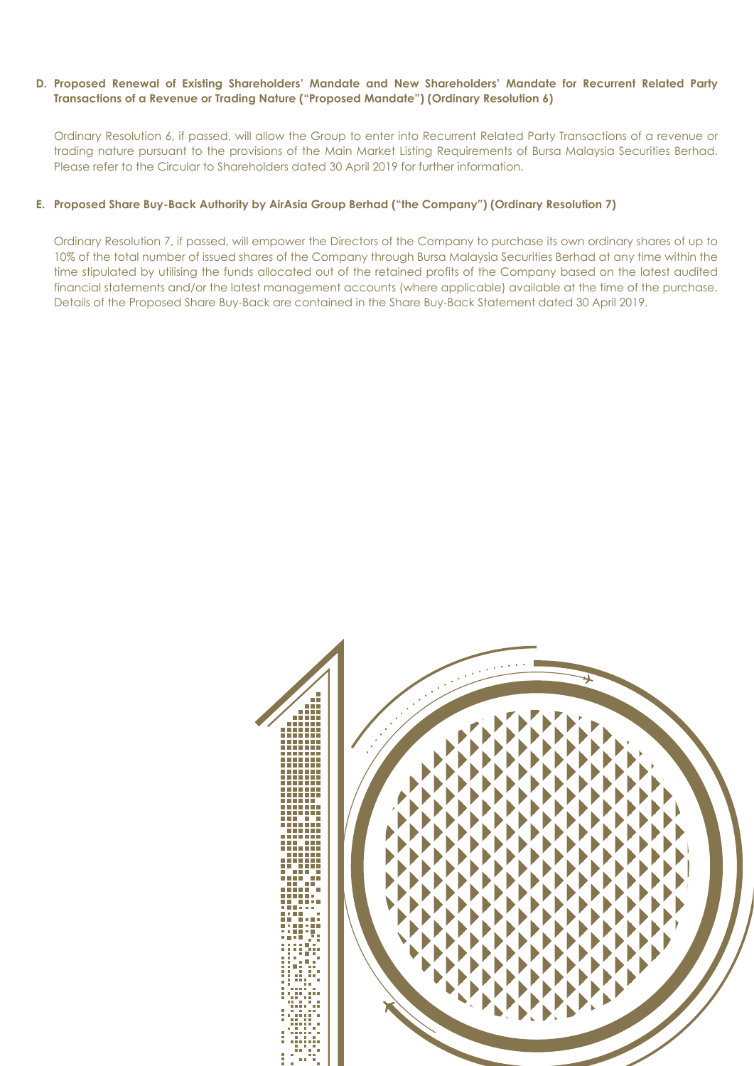### **D. Proposed Renewal of Existing Shareholders' Mandate and New Shareholders' Mandate for Recurrent Related Party Transactions of a Revenue or Trading Nature ("Proposed Mandate") (Ordinary Resolution 6)**

 Ordinary Resolution 6, if passed, will allow the Group to enter into Recurrent Related Party Transactions of a revenue or trading nature pursuant to the provisions of the Main Market Listing Requirements of Bursa Malaysia Securities Berhad. Please refer to the Circular to Shareholders dated 30 April 2019 for further information.

### **E. Proposed Share Buy-Back Authority by AirAsia Group Berhad ("the Company") (Ordinary Resolution 7)**

 Ordinary Resolution 7, if passed, will empower the Directors of the Company to purchase its own ordinary shares of up to 10% of the total number of issued shares of the Company through Bursa Malaysia Securities Berhad at any time within the time stipulated by utilising the funds allocated out of the retained profits of the Company based on the latest audited financial statements and/or the latest management accounts (where applicable) available at the time of the purchase. Details of the Proposed Share Buy-Back are contained in the Share Buy-Back Statement dated 30 April 2019.

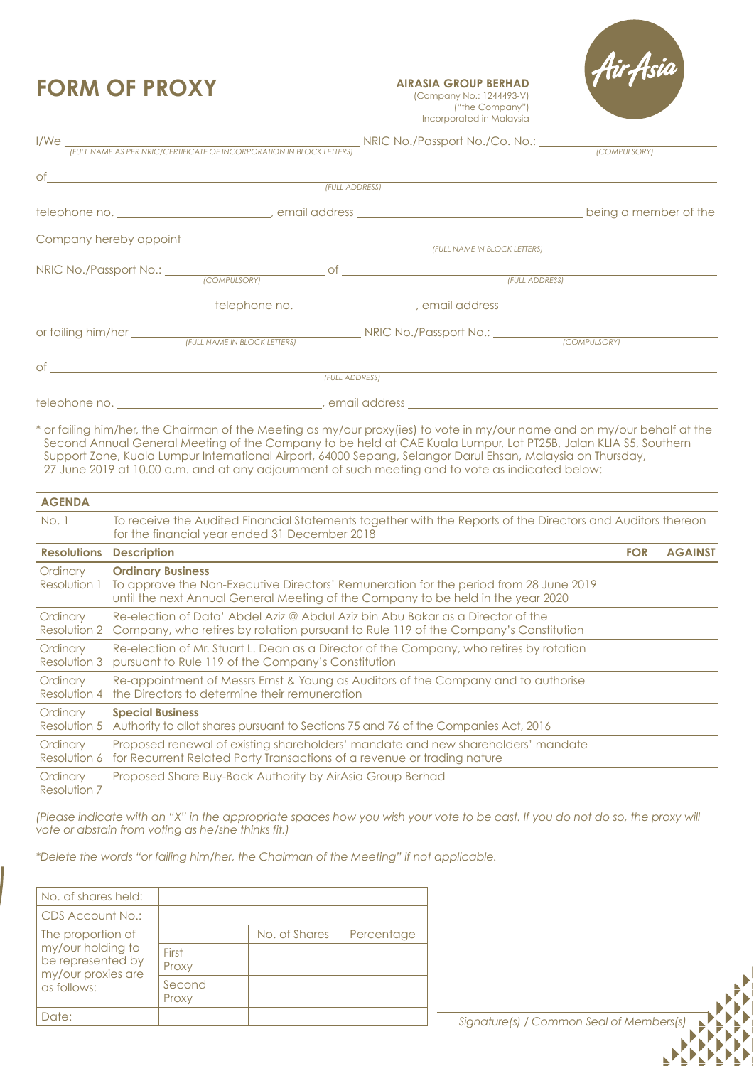### **FORM OF PROXY**

**AIRASIA GROUP BERHAD**  (Company No.: 1244493-V) ("the Company") Incorporated in Malaysia

|                               | I/We <u>(FULL NAME AS PER NRIC/CERTIFICATE OF INCORPORATION IN BLOCK LETTERS)</u><br>(COMPULSORY)    |  |
|-------------------------------|------------------------------------------------------------------------------------------------------|--|
|                               | (FULL ADDRESS)                                                                                       |  |
|                               |                                                                                                      |  |
|                               |                                                                                                      |  |
|                               |                                                                                                      |  |
|                               | (FULL NAME IN BLOCK LETTERS)                                                                         |  |
|                               |                                                                                                      |  |
|                               | _______________________telephone no. ________________________, email address _______________________ |  |
|                               |                                                                                                      |  |
| $of$ $\overline{\phantom{a}}$ |                                                                                                      |  |
|                               | (FULL ADDRESS)                                                                                       |  |
|                               |                                                                                                      |  |

\* or failing him/her, the Chairman of the Meeting as my/our proxy(ies) to vote in my/our name and on my/our behalf at the Second Annual General Meeting of the Company to be held at CAE Kuala Lumpur, Lot PT25B, Jalan KLIA S5, Southern Support Zone, Kuala Lumpur International Airport, 64000 Sepang, Selangor Darul Ehsan, Malaysia on Thursday, 27 June 2019 at 10.00 a.m. and at any adjournment of such meeting and to vote as indicated below:

| <b>AGENDA</b>            |                                                                                                                                                                                                       |            |                |
|--------------------------|-------------------------------------------------------------------------------------------------------------------------------------------------------------------------------------------------------|------------|----------------|
| No.1                     | To receive the Audited Financial Statements together with the Reports of the Directors and Auditors thereon<br>for the financial year ended 31 December 2018                                          |            |                |
| <b>Resolutions</b>       | <b>Description</b>                                                                                                                                                                                    | <b>FOR</b> | <b>AGAINST</b> |
| Ordinary<br>Resolution 1 | <b>Ordinary Business</b><br>To approve the Non-Executive Directors' Remuneration for the period from 28 June 2019<br>until the next Annual General Meeting of the Company to be held in the year 2020 |            |                |
| Ordinary<br>Resolution 2 | Re-election of Dato' Abdel Aziz @ Abdul Aziz bin Abu Bakar as a Director of the<br>Company, who retires by rotation pursuant to Rule 119 of the Company's Constitution                                |            |                |
| Ordinary<br>Resolution 3 | Re-election of Mr. Stuart L. Dean as a Director of the Company, who retires by rotation<br>pursuant to Rule 119 of the Company's Constitution                                                         |            |                |
| Ordinary<br>Resolution 4 | Re-appointment of Messrs Ernst & Young as Auditors of the Company and to authorise<br>the Directors to determine their remuneration                                                                   |            |                |
| Ordinary<br>Resolution 5 | <b>Special Business</b><br>Authority to allot shares pursuant to Sections 75 and 76 of the Companies Act, 2016                                                                                        |            |                |
| Ordinary<br>Resolution 6 | Proposed renewal of existing shareholders' mandate and new shareholders' mandate<br>for Recurrent Related Party Transactions of a revenue or trading nature                                           |            |                |
| Ordinary<br>Resolution 7 | Proposed Share Buy-Back Authority by AirAsia Group Berhad                                                                                                                                             |            |                |

*(Please indicate with an "X" in the appropriate spaces how you wish your vote to be cast. If you do not do so, the proxy will vote or abstain from voting as he/she thinks fit.)*

*\*Delete the words "or failing him/her, the Chairman of the Meeting" if not applicable.*

| No. of shares held:                                                                              |                 |               |            |
|--------------------------------------------------------------------------------------------------|-----------------|---------------|------------|
| CDS Account No.:                                                                                 |                 |               |            |
| The proportion of<br>my/our holding to<br>be represented by<br>my/our proxies are<br>as follows: |                 | No. of Shares | Percentage |
|                                                                                                  | First<br>Proxy  |               |            |
|                                                                                                  | Second<br>Proxy |               |            |
| Date:                                                                                            |                 |               |            |

Signature(s) / Common Seal of Members(s)

۱

 $\begin{array}{c} \hline \end{array}$  $\begin{array}{c} \hline \end{array}$